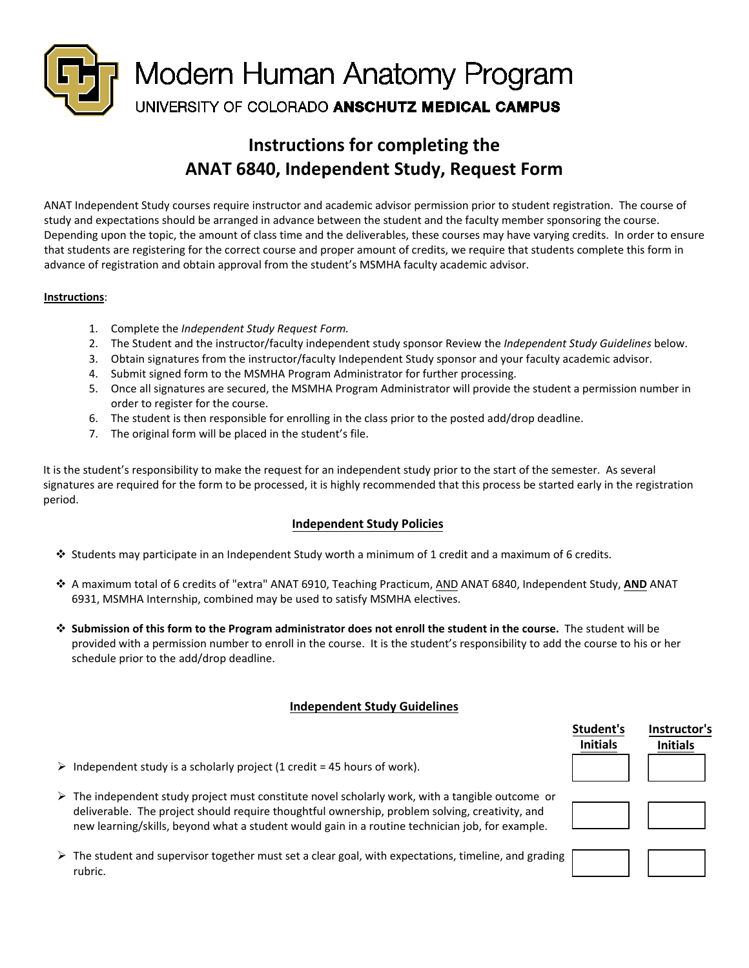

# **Instructions for completing the ANAT 6840, Independent Study, Request Form**

ANAT Independent Study courses require instructor and academic advisor permission prior to student registration. The course of study and expectations should be arranged in advance between the student and the faculty member sponsoring the course. Depending upon the topic, the amount of class time and the deliverables, these courses may have varying credits. In order to ensure that students are registering for the correct course and proper amount of credits, we require that students complete this form in advance of registration and obtain approval from the student's MSMHA faculty academic advisor.

#### **Instructions**:

- 1. Complete the *Independent Study Request Form.*
- 2. The Student and the instructor/faculty independent study sponsor Review the *Independent Study Guidelines* below.
- 3. Obtain signatures from the instructor/faculty Independent Study sponsor and your faculty academic advisor.
- 4. Submit signed form to the MSMHA Program Administrator for further processing.
- 5. Once all signatures are secured, the MSMHA Program Administrator will provide the student a permission number in order to register for the course.
- 6. The student is then responsible for enrolling in the class prior to the posted add/drop deadline.
- 7. The original form will be placed in the student's file.

It is the student's responsibility to make the request for an independent study prior to the start of the semester. As several signatures are required for the form to be processed, it is highly recommended that this process be started early in the registration period.

### **Independent Study Policies**

- $\cdot$  Students may participate in an Independent Study worth a minimum of 1 credit and a maximum of 6 credits.
- A maximum total of 6 credits of "extra" ANAT 6910, Teaching Practicum, AND ANAT 6840, Independent Study, **AND** ANAT 6931, MSMHA Internship, combined may be used to satisfy MSMHA electives.
- **Submission of this form to the Program administrator does not enroll the student in the course.** The student will be provided with a permission number to enroll in the course. It is the student's responsibility to add the course to his or her schedule prior to the add/drop deadline.

### **Independent Study Guidelines**

|                                                                                                                                                                                                                                                                                                                      | Student's<br><b>Initials</b> | Instructor's<br><b>Initials</b> |
|----------------------------------------------------------------------------------------------------------------------------------------------------------------------------------------------------------------------------------------------------------------------------------------------------------------------|------------------------------|---------------------------------|
| $\triangleright$ Independent study is a scholarly project (1 credit = 45 hours of work).                                                                                                                                                                                                                             |                              |                                 |
| $\triangleright$ The independent study project must constitute novel scholarly work, with a tangible outcome or<br>deliverable. The project should require thoughtful ownership, problem solving, creativity, and<br>new learning/skills, beyond what a student would gain in a routine technician job, for example. |                              |                                 |
| $\triangleright$ The student and supervisor together must set a clear goal, with expectations, timeline, and grading<br>rubric.                                                                                                                                                                                      |                              |                                 |